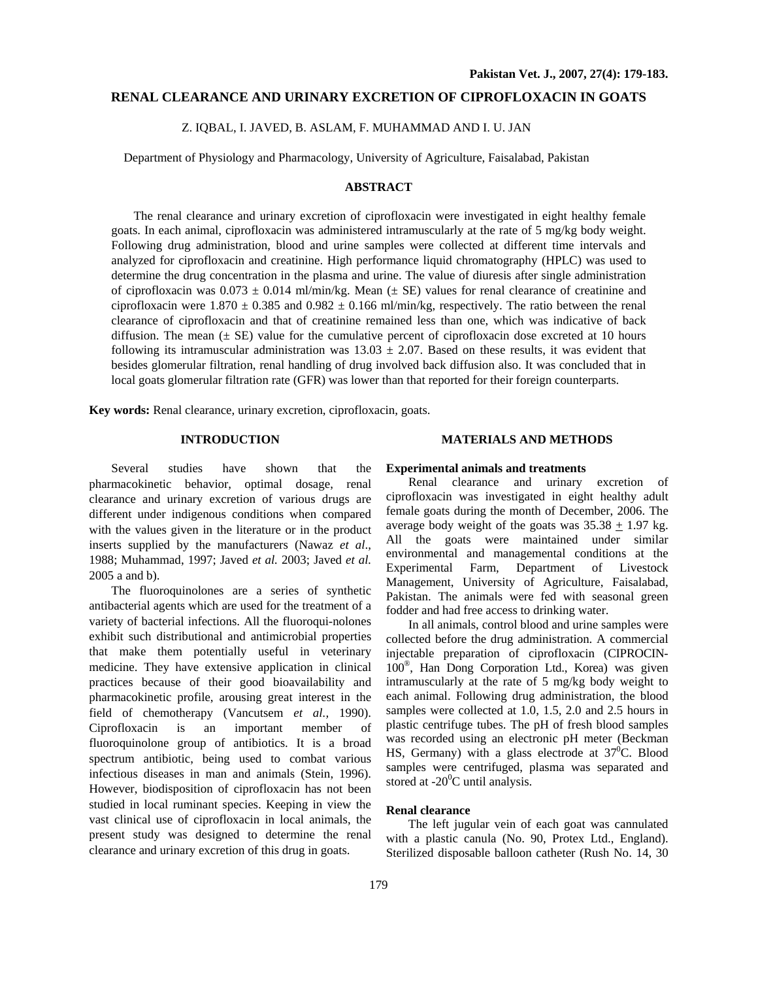## **RENAL CLEARANCE AND URINARY EXCRETION OF CIPROFLOXACIN IN GOATS**

Z. IQBAL, I. JAVED, B. ASLAM, F. MUHAMMAD AND I. U. JAN

Department of Physiology and Pharmacology, University of Agriculture, Faisalabad, Pakistan

# **ABSTRACT**

The renal clearance and urinary excretion of ciprofloxacin were investigated in eight healthy female goats. In each animal, ciprofloxacin was administered intramuscularly at the rate of 5 mg/kg body weight. Following drug administration, blood and urine samples were collected at different time intervals and analyzed for ciprofloxacin and creatinine. High performance liquid chromatography (HPLC) was used to determine the drug concentration in the plasma and urine. The value of diuresis after single administration of ciprofloxacin was  $0.073 \pm 0.014$  ml/min/kg. Mean ( $\pm$  SE) values for renal clearance of creatinine and ciprofloxacin were 1.870  $\pm$  0.385 and 0.982  $\pm$  0.166 ml/min/kg, respectively. The ratio between the renal clearance of ciprofloxacin and that of creatinine remained less than one, which was indicative of back diffusion. The mean  $(\pm S$ E) value for the cumulative percent of ciprofloxacin dose excreted at 10 hours following its intramuscular administration was  $13.03 \pm 2.07$ . Based on these results, it was evident that besides glomerular filtration, renal handling of drug involved back diffusion also. It was concluded that in local goats glomerular filtration rate (GFR) was lower than that reported for their foreign counterparts.

**Key words:** Renal clearance, urinary excretion, ciprofloxacin, goats.

## **INTRODUCTION**

Several studies have shown that the pharmacokinetic behavior, optimal dosage, renal clearance and urinary excretion of various drugs are different under indigenous conditions when compared with the values given in the literature or in the product inserts supplied by the manufacturers (Nawaz *et al*., 1988; Muhammad, 1997; Javed *et al.* 2003; Javed *et al.* 2005 a and b).

The fluoroquinolones are a series of synthetic antibacterial agents which are used for the treatment of a variety of bacterial infections. All the fluoroqui-nolones exhibit such distributional and antimicrobial properties that make them potentially useful in veterinary medicine. They have extensive application in clinical practices because of their good bioavailability and pharmacokinetic profile, arousing great interest in the field of chemotherapy (Vancutsem *et al.,* 1990). Ciprofloxacin is an important member of fluoroquinolone group of antibiotics. It is a broad spectrum antibiotic, being used to combat various infectious diseases in man and animals (Stein, 1996). However, biodisposition of ciprofloxacin has not been studied in local ruminant species. Keeping in view the vast clinical use of ciprofloxacin in local animals, the present study was designed to determine the renal clearance and urinary excretion of this drug in goats.

## **MATERIALS AND METHODS**

## **Experimental animals and treatments**

Renal clearance and urinary excretion of ciprofloxacin was investigated in eight healthy adult female goats during the month of December, 2006. The average body weight of the goats was  $35.38 + 1.97$  kg. All the goats were maintained under similar environmental and managemental conditions at the Experimental Farm, Department of Livestock Management, University of Agriculture, Faisalabad, Pakistan. The animals were fed with seasonal green fodder and had free access to drinking water.

In all animals, control blood and urine samples were collected before the drug administration. A commercial injectable preparation of ciprofloxacin (CIPROCIN-100®, Han Dong Corporation Ltd., Korea) was given intramuscularly at the rate of 5 mg/kg body weight to each animal. Following drug administration, the blood samples were collected at 1.0, 1.5, 2.0 and 2.5 hours in plastic centrifuge tubes. The pH of fresh blood samples was recorded using an electronic pH meter (Beckman HS, Germany) with a glass electrode at  $37^{\circ}$ C. Blood samples were centrifuged, plasma was separated and stored at -20<sup>0</sup>C until analysis.

## **Renal clearance**

The left jugular vein of each goat was cannulated with a plastic canula (No. 90, Protex Ltd., England). Sterilized disposable balloon catheter (Rush No. 14, 30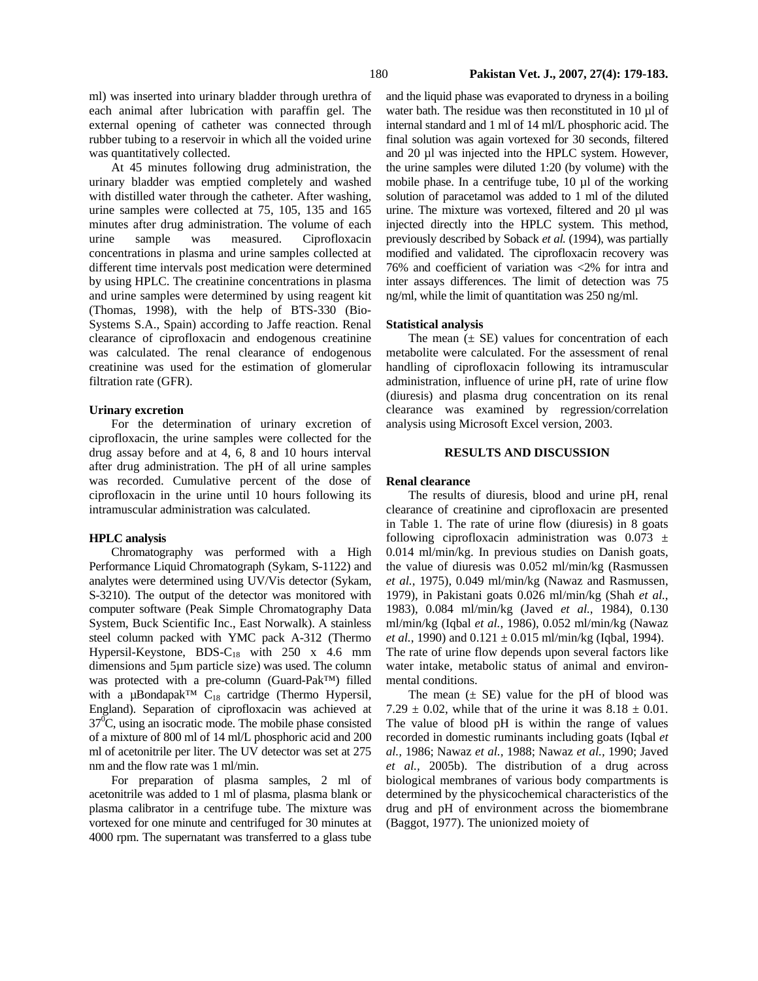ml) was inserted into urinary bladder through urethra of each animal after lubrication with paraffin gel. The external opening of catheter was connected through rubber tubing to a reservoir in which all the voided urine was quantitatively collected.

At 45 minutes following drug administration, the urinary bladder was emptied completely and washed with distilled water through the catheter. After washing, urine samples were collected at 75, 105, 135 and 165 minutes after drug administration. The volume of each urine sample was measured. Ciprofloxacin concentrations in plasma and urine samples collected at different time intervals post medication were determined by using HPLC. The creatinine concentrations in plasma and urine samples were determined by using reagent kit (Thomas, 1998), with the help of BTS-330 (Bio-Systems S.A., Spain) according to Jaffe reaction. Renal clearance of ciprofloxacin and endogenous creatinine was calculated. The renal clearance of endogenous creatinine was used for the estimation of glomerular filtration rate (GFR).

### **Urinary excretion**

For the determination of urinary excretion of ciprofloxacin, the urine samples were collected for the drug assay before and at 4, 6, 8 and 10 hours interval after drug administration. The pH of all urine samples was recorded. Cumulative percent of the dose of ciprofloxacin in the urine until 10 hours following its intramuscular administration was calculated.

#### **HPLC analysis**

Chromatography was performed with a High Performance Liquid Chromatograph (Sykam, S-1122) and analytes were determined using UV/Vis detector (Sykam, S-3210). The output of the detector was monitored with computer software (Peak Simple Chromatography Data System, Buck Scientific Inc., East Norwalk). A stainless steel column packed with YMC pack A-312 (Thermo Hypersil-Keystone, BDS-C<sub>18</sub> with 250 x 4.6 mm dimensions and 5µm particle size) was used. The column was protected with a pre-column (Guard-Pak™) filled with a µBondapak™ C<sub>18</sub> cartridge (Thermo Hypersil, England). Separation of ciprofloxacin was achieved at  $37\text{°C}$ , using an isocratic mode. The mobile phase consisted of a mixture of 800 ml of 14 ml/L phosphoric acid and 200 ml of acetonitrile per liter. The UV detector was set at 275 nm and the flow rate was 1 ml/min.

For preparation of plasma samples, 2 ml of acetonitrile was added to 1 ml of plasma, plasma blank or plasma calibrator in a centrifuge tube. The mixture was vortexed for one minute and centrifuged for 30 minutes at 4000 rpm. The supernatant was transferred to a glass tube

and the liquid phase was evaporated to dryness in a boiling water bath. The residue was then reconstituted in 10 µl of internal standard and 1 ml of 14 ml/L phosphoric acid. The final solution was again vortexed for 30 seconds, filtered and 20 µl was injected into the HPLC system. However, the urine samples were diluted 1:20 (by volume) with the mobile phase. In a centrifuge tube, 10 µl of the working solution of paracetamol was added to 1 ml of the diluted urine. The mixture was vortexed, filtered and 20 µl was injected directly into the HPLC system. This method, previously described by Soback *et al.* (1994), was partially modified and validated. The ciprofloxacin recovery was 76% and coefficient of variation was <2% for intra and inter assays differences. The limit of detection was 75 ng/ml, while the limit of quantitation was 250 ng/ml.

### **Statistical analysis**

The mean  $(\pm \text{ SE})$  values for concentration of each metabolite were calculated. For the assessment of renal handling of ciprofloxacin following its intramuscular administration, influence of urine pH, rate of urine flow (diuresis) and plasma drug concentration on its renal clearance was examined by regression/correlation analysis using Microsoft Excel version, 2003.

## **RESULTS AND DISCUSSION**

#### **Renal clearance**

The results of diuresis, blood and urine pH, renal clearance of creatinine and ciprofloxacin are presented in Table 1. The rate of urine flow (diuresis) in 8 goats following ciprofloxacin administration was  $0.073 \pm$ 0.014 ml/min/kg. In previous studies on Danish goats, the value of diuresis was 0.052 ml/min/kg (Rasmussen *et al.*, 1975), 0.049 ml/min/kg (Nawaz and Rasmussen, 1979), in Pakistani goats 0.026 ml/min/kg (Shah *et al.*, 1983), 0.084 ml/min/kg (Javed *et al.*, 1984), 0.130 ml/min/kg (Iqbal *et al.*, 1986), 0.052 ml/min/kg (Nawaz *et al.*, 1990) and  $0.121 \pm 0.015$  ml/min/kg (Iqbal, 1994). The rate of urine flow depends upon several factors like water intake, metabolic status of animal and environmental conditions.

The mean  $(\pm \text{ SE})$  value for the pH of blood was 7.29  $\pm$  0.02, while that of the urine it was 8.18  $\pm$  0.01. The value of blood pH is within the range of values recorded in domestic ruminants including goats (Iqbal *et al.,* 1986; Nawaz *et al.,* 1988; Nawaz *et al.,* 1990; Javed *et al.,* 2005b). The distribution of a drug across biological membranes of various body compartments is determined by the physicochemical characteristics of the drug and pH of environment across the biomembrane (Baggot, 1977). The unionized moiety of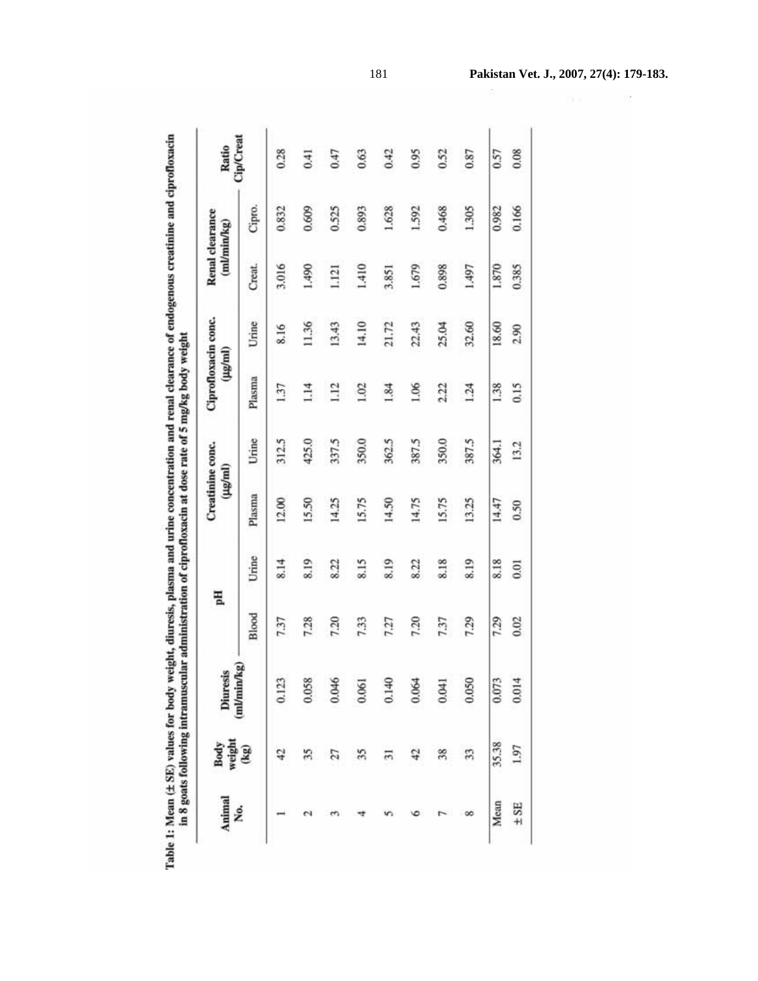| ļ<br>ĺ                          |                      |
|---------------------------------|----------------------|
| $\frac{1}{2}$<br><b>LERENCE</b> | in 8 goats foll<br>D |
| able 1: Mean                    |                      |

| Animal<br>No. | Body<br>weight<br>(kg)   | Diuresis  | Fiq   |       | Creatinine conc.<br>$(\mu\mathbf{g/m})$ |       | Ciprofloxacin conc.<br>(Hg/ml) |       |        | Renal clearance<br>(ml/min/kg) | Ratio     |
|---------------|--------------------------|-----------|-------|-------|-----------------------------------------|-------|--------------------------------|-------|--------|--------------------------------|-----------|
|               |                          | mVmin/kg) | Blood | Urine | Plasma                                  | Urine | Plasma                         | Urine | Creat. | Cipro.                         | Cip/Creat |
|               |                          | 0.123     | 7.37  | 8.14  | 12.00                                   | 312.5 | 1.37                           | 8.16  | 3.016  | 0.832                          | 0.28      |
|               |                          | 0.058     | 7.28  | 8.19  | 15.50                                   | 425.0 | 1.14                           | 11.36 | 1.490  | 0.609                          | 0.41      |
|               | 27                       | 0.046     | 7.20  | 8.22  | 14.25                                   | 337.5 | 1.12                           | 13.43 | 1.121  | 0.525                          | 0.47      |
|               | 35                       | 0.061     | 7.33  | 8.15  | 15.75                                   | 350.0 | 1.02                           | 14.10 | 1.410  | 0.893                          | 0.63      |
|               |                          | 0.140     | 7.27  | 8.19  | 14.50                                   | 362.5 | 1.84                           | 21.72 | 3.851  | 1.628                          | 0.42      |
|               |                          | 0.064     | 7.20  | 8.22  | 14.75                                   | 387.5 | 1.06                           | 22.43 | 1.679  | 1.592                          | 0.95      |
|               | 38                       | 0.041     | 7.37  | 8.18  | 15.75                                   | 350.0 | 2.22                           | 25.04 | 0.898  | 0.468                          | 0.52      |
|               |                          | 0.050     | 7.29  | 8.19  | 13.25                                   | 387.5 | 1.24                           | 32.60 | 1.497  | 1.305                          | 0.87      |
|               | $35.38$<br>$\pm$ SE 1.97 | 0.073     | 7.29  | 8.18  | 14.47                                   | 364.1 | 1.38                           | 18.60 | 1.870  | 0.982                          | 0.57      |
|               |                          | 0.014     | 0.02  | 0.01  | 0.50                                    | 13.2  | 0.15                           | 2.90  | 0.385  | 0.166                          | 0.08      |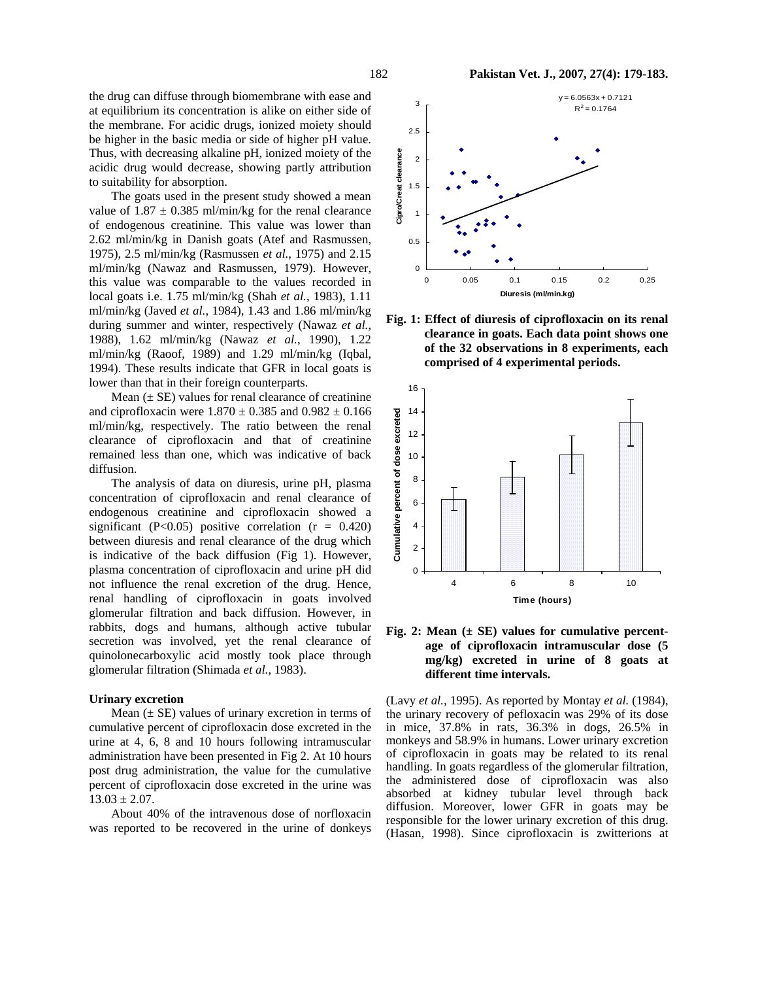the drug can diffuse through biomembrane with ease and at equilibrium its concentration is alike on either side of the membrane. For acidic drugs, ionized moiety should be higher in the basic media or side of higher pH value. Thus, with decreasing alkaline pH, ionized moiety of the acidic drug would decrease, showing partly attribution to suitability for absorption.

The goats used in the present study showed a mean value of  $1.87 \pm 0.385$  ml/min/kg for the renal clearance of endogenous creatinine. This value was lower than 2.62 ml/min/kg in Danish goats (Atef and Rasmussen, 1975), 2.5 ml/min/kg (Rasmussen *et al.*, 1975) and 2.15 ml/min/kg (Nawaz and Rasmussen, 1979). However, this value was comparable to the values recorded in local goats i.e. 1.75 ml/min/kg (Shah *et al.*, 1983), 1.11 ml/min/kg (Javed *et al.*, 1984), 1.43 and 1.86 ml/min/kg during summer and winter, respectively (Nawaz *et al.*, 1988), 1.62 ml/min/kg (Nawaz *et al.*, 1990), 1.22 ml/min/kg (Raoof, 1989) and 1.29 ml/min/kg (Iqbal, 1994). These results indicate that GFR in local goats is lower than that in their foreign counterparts.

Mean  $(\pm S$ E) values for renal clearance of creatinine and ciprofloxacin were  $1.870 \pm 0.385$  and  $0.982 \pm 0.166$ ml/min/kg, respectively. The ratio between the renal clearance of ciprofloxacin and that of creatinine remained less than one, which was indicative of back diffusion.

The analysis of data on diuresis, urine pH, plasma concentration of ciprofloxacin and renal clearance of endogenous creatinine and ciprofloxacin showed a significant (P<0.05) positive correlation ( $r = 0.420$ ) between diuresis and renal clearance of the drug which is indicative of the back diffusion (Fig 1). However, plasma concentration of ciprofloxacin and urine pH did not influence the renal excretion of the drug. Hence, renal handling of ciprofloxacin in goats involved glomerular filtration and back diffusion. However, in rabbits, dogs and humans, although active tubular secretion was involved, yet the renal clearance of quinolonecarboxylic acid mostly took place through glomerular filtration (Shimada *et al.,* 1983).

#### **Urinary excretion**

Mean  $(\pm S$  values of urinary excretion in terms of cumulative percent of ciprofloxacin dose excreted in the urine at 4, 6, 8 and 10 hours following intramuscular administration have been presented in Fig 2. At 10 hours post drug administration, the value for the cumulative percent of ciprofloxacin dose excreted in the urine was  $13.03 \pm 2.07$ .

About 40% of the intravenous dose of norfloxacin was reported to be recovered in the urine of donkeys





**Fig. 1: Effect of diuresis of ciprofloxacin on its renal clearance in goats. Each data point shows one of the 32 observations in 8 experiments, each comprised of 4 experimental periods.** 



**Fig. 2: Mean (± SE) values for cumulative percentage of ciprofloxacin intramuscular dose (5 mg/kg) excreted in urine of 8 goats at different time intervals.** 

(Lavy *et al.,* 1995). As reported by Montay *et al.* (1984), the urinary recovery of pefloxacin was 29% of its dose in mice, 37.8% in rats, 36.3% in dogs, 26.5% in monkeys and 58.9% in humans. Lower urinary excretion of ciprofloxacin in goats may be related to its renal handling. In goats regardless of the glomerular filtration, the administered dose of ciprofloxacin was also absorbed at kidney tubular level through back diffusion. Moreover, lower GFR in goats may be responsible for the lower urinary excretion of this drug. (Hasan, 1998). Since ciprofloxacin is zwitterions at